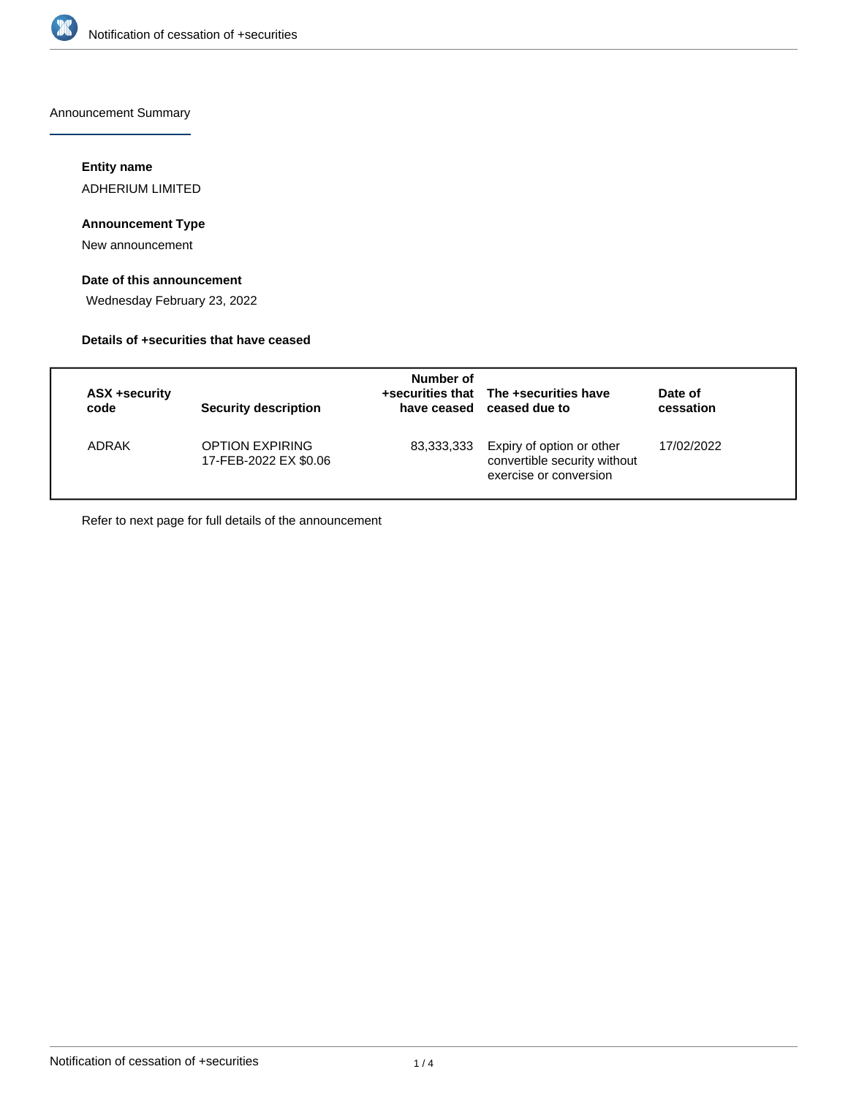

Announcement Summary

# **Entity name**

ADHERIUM LIMITED

# **Announcement Type**

New announcement

# **Date of this announcement**

Wednesday February 23, 2022

### **Details of +securities that have ceased**

| ASX +security<br>code | <b>Security description</b>                     | Number of  | +securities that The +securities have<br>have ceased ceased due to                  | Date of<br>cessation |
|-----------------------|-------------------------------------------------|------------|-------------------------------------------------------------------------------------|----------------------|
| ADRAK                 | <b>OPTION EXPIRING</b><br>17-FEB-2022 EX \$0.06 | 83,333,333 | Expiry of option or other<br>convertible security without<br>exercise or conversion | 17/02/2022           |

Refer to next page for full details of the announcement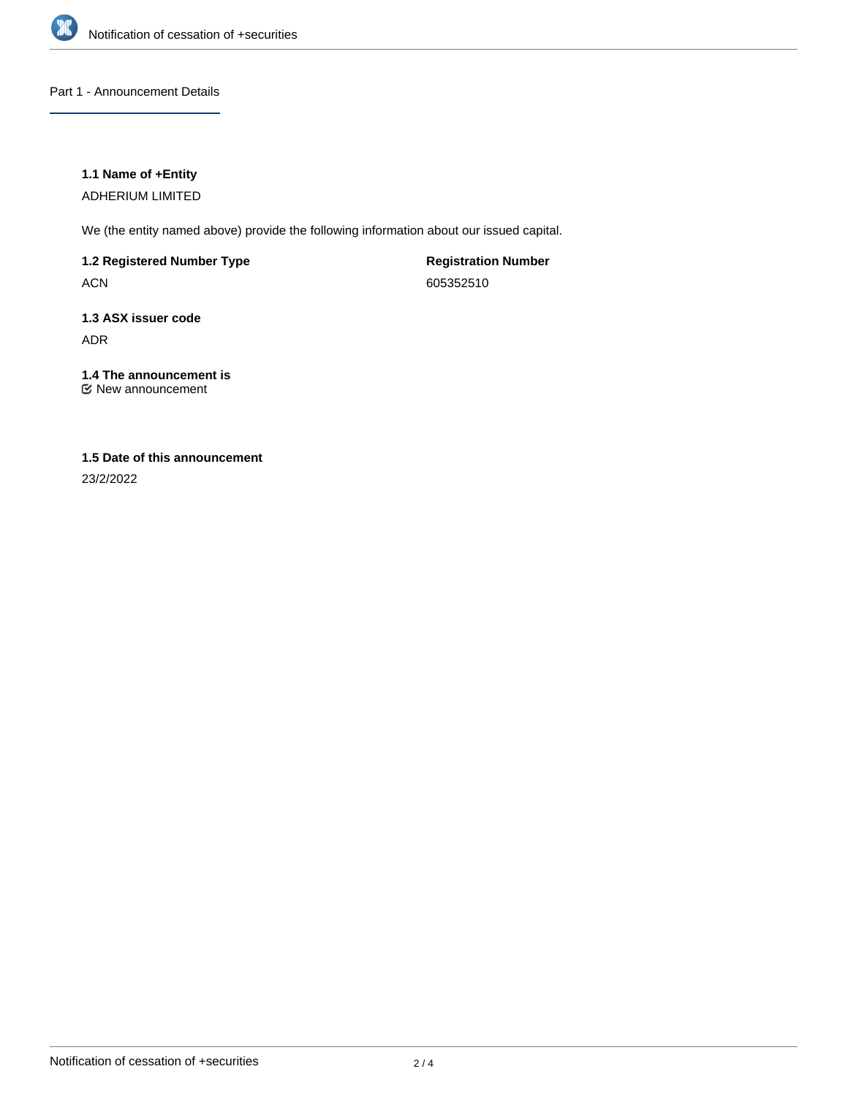

### Part 1 - Announcement Details

### **1.1 Name of +Entity**

ADHERIUM LIMITED

We (the entity named above) provide the following information about our issued capital.

**1.2 Registered Number Type**

ACN

**Registration Number** 605352510

# **1.3 ASX issuer code** ADR

# **1.4 The announcement is**

New announcement

# **1.5 Date of this announcement**

23/2/2022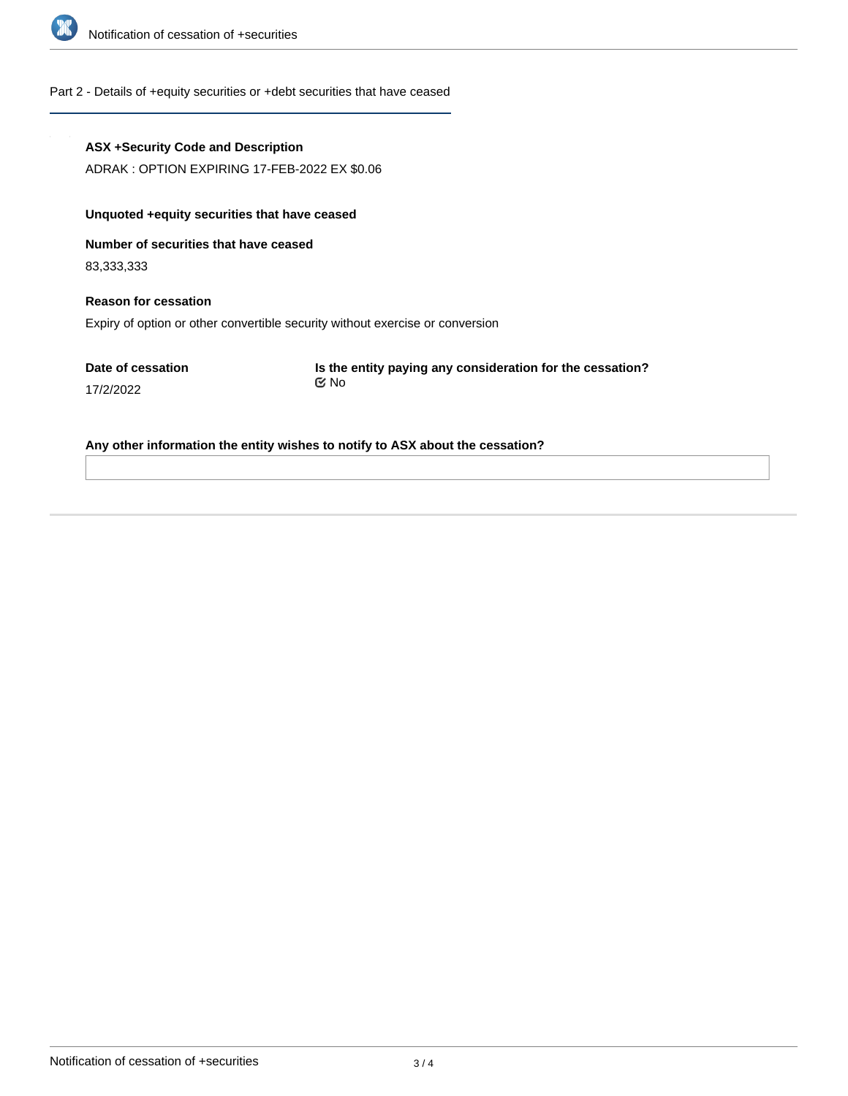

### Part 2 - Details of +equity securities or +debt securities that have ceased

### **ASX +Security Code and Description**

ADRAK : OPTION EXPIRING 17-FEB-2022 EX \$0.06

# **Unquoted +equity securities that have ceased**

**Number of securities that have ceased**

83,333,333

17/2/2022

# **Reason for cessation** Expiry of option or other convertible security without exercise or conversion

**Date of cessation**

**Is the entity paying any consideration for the cessation?** No

#### **Any other information the entity wishes to notify to ASX about the cessation?**